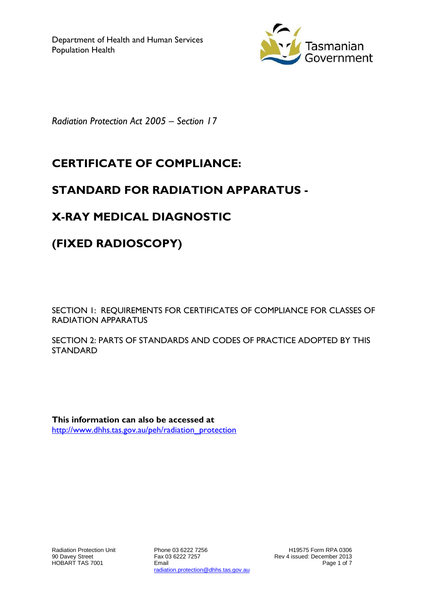

*Radiation Protection Act 2005 – Section 17*

## **CERTIFICATE OF COMPLIANCE:**

### **STANDARD FOR RADIATION APPARATUS -**

# **X-RAY MEDICAL DIAGNOSTIC**

## **(FIXED RADIOSCOPY)**

SECTION 1: REQUIREMENTS FOR CERTIFICATES OF COMPLIANCE FOR CLASSES OF RADIATION APPARATUS

SECTION 2: PARTS OF STANDARDS AND CODES OF PRACTICE ADOPTED BY THIS STANDARD

**This information can also be accessed at** [http://www.dhhs.tas.gov.au/peh/radiation\\_protection](http://www.dhhs.tas.gov.au/peh/radiation_protection)

Phone 03 6222 7256 Fax 03 6222 7257 Email radiation.protection@dhhs.tas.gov.au

H19575 Form RPA 0306 Rev 4 issued: December 2013 Page 1 of 7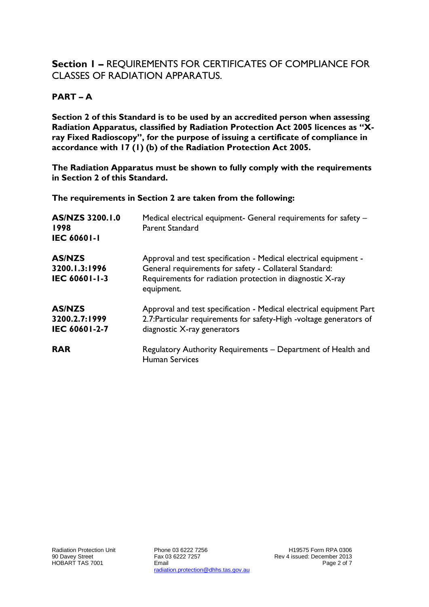#### **Section 1 –** REQUIREMENTS FOR CERTIFICATES OF COMPLIANCE FOR CLASSES OF RADIATION APPARATUS.

#### **PART – A**

**Section 2 of this Standard is to be used by an accredited person when assessing Radiation Apparatus, classified by Radiation Protection Act 2005 licences as "Xray Fixed Radioscopy", for the purpose of issuing a certificate of compliance in accordance with 17 (1) (b) of the Radiation Protection Act 2005.**

**The Radiation Apparatus must be shown to fully comply with the requirements in Section 2 of this Standard.**

**The requirements in Section 2 are taken from the following:**

| AS/NZS 3200.1.0<br>1998<br><b>IEC 60601-1</b>   | Medical electrical equipment- General requirements for safety -<br><b>Parent Standard</b>                                                                                                             |
|-------------------------------------------------|-------------------------------------------------------------------------------------------------------------------------------------------------------------------------------------------------------|
| <b>AS/NZS</b><br>3200.1.3:1996<br>IEC 60601-1-3 | Approval and test specification - Medical electrical equipment -<br>General requirements for safety - Collateral Standard:<br>Requirements for radiation protection in diagnostic X-ray<br>equipment. |
| <b>AS/NZS</b><br>3200.2.7:1999<br>IEC 60601-2-7 | Approval and test specification - Medical electrical equipment Part<br>2.7: Particular requirements for safety-High -voltage generators of<br>diagnostic X-ray generators                             |
| <b>RAR</b>                                      | Regulatory Authority Requirements - Department of Health and<br><b>Human Services</b>                                                                                                                 |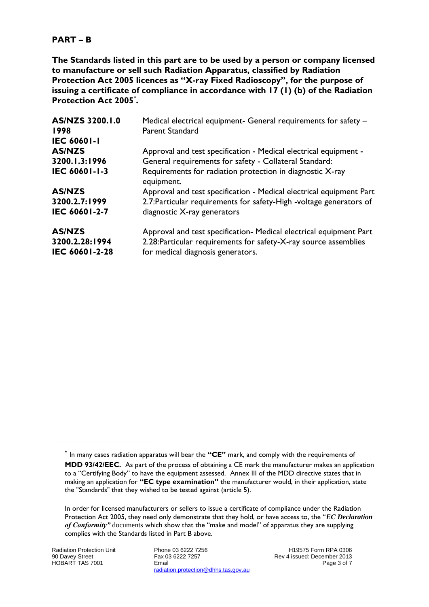#### **PART – B**

**The Standards listed in this part are to be used by a person or company licensed to manufacture or sell such Radiation Apparatus, classified by Radiation Protection Act 2005 licences as "X-ray Fixed Radioscopy", for the purpose of issuing a certificate of compliance in accordance with 17 (1) (b) of the Radiation Protection Act 2005\* .**

| AS/NZS 3200.1.0<br>1998<br><b>IEC 60601-1</b>     | Medical electrical equipment- General requirements for safety -<br><b>Parent Standard</b>                                                                                   |
|---------------------------------------------------|-----------------------------------------------------------------------------------------------------------------------------------------------------------------------------|
| <b>AS/NZS</b>                                     | Approval and test specification - Medical electrical equipment -                                                                                                            |
| 3200.1.3:1996                                     | General requirements for safety - Collateral Standard:                                                                                                                      |
| IEC 60601-1-3                                     | Requirements for radiation protection in diagnostic X-ray<br>equipment.                                                                                                     |
| <b>AS/NZS</b>                                     | Approval and test specification - Medical electrical equipment Part                                                                                                         |
| 3200.2.7:1999                                     | 2.7: Particular requirements for safety-High -voltage generators of                                                                                                         |
| IEC 60601-2-7                                     | diagnostic X-ray generators                                                                                                                                                 |
| <b>AS/NZS</b><br>3200.2.28:1994<br>IEC 60601-2-28 | Approval and test specification- Medical electrical equipment Part<br>2.28: Particular requirements for safety-X-ray source assemblies<br>for medical diagnosis generators. |

1

Phone 03 6222 7256 Fax 03 6222 7257 Email radiation.protection@dhhs.tas.gov.au

H19575 Form RPA 0306 Rev 4 issued: December 2013 Page 3 of 7

<sup>\*</sup> In many cases radiation apparatus will bear the **"CE"** mark, and comply with the requirements of **MDD 93/42/EEC.** As part of the process of obtaining a CE mark the manufacturer makes an application to a "Certifying Body" to have the equipment assessed. Annex III of the MDD directive states that in making an application for **"EC type examination"** the manufacturer would, in their application, state the "Standards" that they wished to be tested against (article 5).

In order for licensed manufacturers or sellers to issue a certificate of compliance under the Radiation Protection Act 2005, they need only demonstrate that they hold, or have access to, the "*EC Declaration of Conformity"* documents which show that the "make and model" of apparatus they are supplying complies with the Standards listed in Part B above.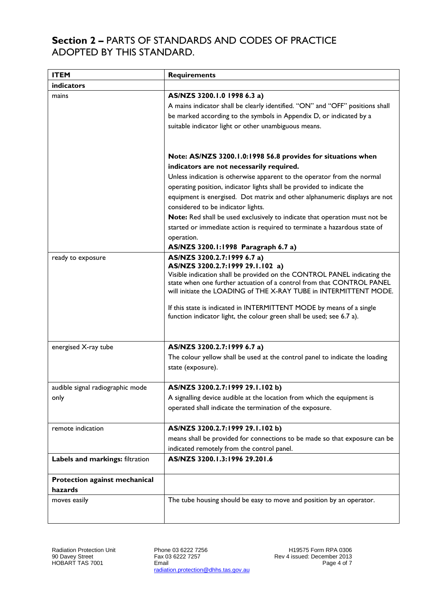### **Section 2 –** PARTS OF STANDARDS AND CODES OF PRACTICE ADOPTED BY THIS STANDARD.

| <b>ITEM</b>                              | <b>Requirements</b>                                                                                                                                                                                                                                                                                                                                                                                                                                                                                                                                                                               |  |
|------------------------------------------|---------------------------------------------------------------------------------------------------------------------------------------------------------------------------------------------------------------------------------------------------------------------------------------------------------------------------------------------------------------------------------------------------------------------------------------------------------------------------------------------------------------------------------------------------------------------------------------------------|--|
| indicators                               |                                                                                                                                                                                                                                                                                                                                                                                                                                                                                                                                                                                                   |  |
| mains                                    | AS/NZS 3200.1.0 1998 6.3 a)<br>A mains indicator shall be clearly identified. "ON" and "OFF" positions shall<br>be marked according to the symbols in Appendix D, or indicated by a<br>suitable indicator light or other unambiguous means.                                                                                                                                                                                                                                                                                                                                                       |  |
|                                          | Note: AS/NZS 3200.1.0:1998 56.8 provides for situations when<br>indicators are not necessarily required.<br>Unless indication is otherwise apparent to the operator from the normal<br>operating position, indicator lights shall be provided to indicate the<br>equipment is energised. Dot matrix and other alphanumeric displays are not<br>considered to be indicator lights.<br>Note: Red shall be used exclusively to indicate that operation must not be<br>started or immediate action is required to terminate a hazardous state of<br>operation.<br>AS/NZS 3200.1:1998 Paragraph 6.7 a) |  |
| ready to exposure                        | AS/NZS 3200.2.7:1999 6.7 a)<br>AS/NZS 3200.2.7:1999 29.1.102 a)<br>Visible indication shall be provided on the CONTROL PANEL indicating the<br>state when one further actuation of a control from that CONTROL PANEL<br>will initiate the LOADING of THE X-RAY TUBE in INTERMITTENT MODE.<br>If this state is indicated in INTERMITTENT MODE by means of a single<br>function indicator light, the colour green shall be used; see 6.7 a).                                                                                                                                                        |  |
| energised X-ray tube                     | AS/NZS 3200.2.7:1999 6.7 a)<br>The colour yellow shall be used at the control panel to indicate the loading<br>state (exposure).                                                                                                                                                                                                                                                                                                                                                                                                                                                                  |  |
| audible signal radiographic mode<br>only | AS/NZS 3200.2.7:1999 29.1.102 b)<br>A signalling device audible at the location from which the equipment is<br>operated shall indicate the termination of the exposure.                                                                                                                                                                                                                                                                                                                                                                                                                           |  |
| remote indication                        | AS/NZS 3200.2.7:1999 29.1.102 b)<br>means shall be provided for connections to be made so that exposure can be<br>indicated remotely from the control panel.                                                                                                                                                                                                                                                                                                                                                                                                                                      |  |
| Labels and markings: filtration          | AS/NZS 3200.1.3:1996 29.201.6                                                                                                                                                                                                                                                                                                                                                                                                                                                                                                                                                                     |  |
| Protection against mechanical<br>hazards |                                                                                                                                                                                                                                                                                                                                                                                                                                                                                                                                                                                                   |  |
| moves easily                             | The tube housing should be easy to move and position by an operator.                                                                                                                                                                                                                                                                                                                                                                                                                                                                                                                              |  |

Phone 03 6222 7256 Fax 03 6222 7257 Email radiation.protection@dhhs.tas.gov.au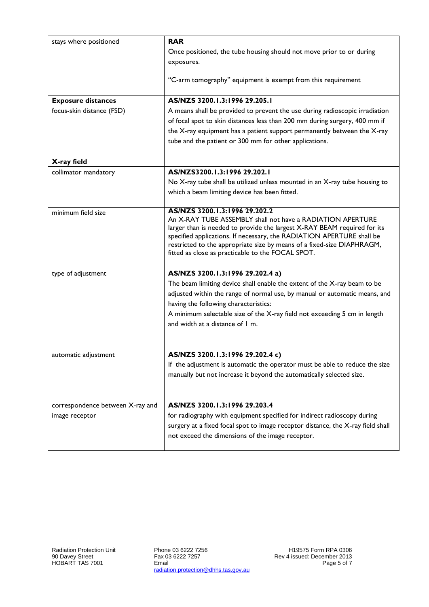| stays where positioned           | <b>RAR</b><br>Once positioned, the tube housing should not move prior to or during                                                                |  |  |
|----------------------------------|---------------------------------------------------------------------------------------------------------------------------------------------------|--|--|
|                                  | exposures.                                                                                                                                        |  |  |
|                                  | "C-arm tomography" equipment is exempt from this requirement                                                                                      |  |  |
| <b>Exposure distances</b>        | AS/NZS 3200.1.3:1996 29.205.1                                                                                                                     |  |  |
| focus-skin distance (FSD)        | A means shall be provided to prevent the use during radioscopic irradiation                                                                       |  |  |
|                                  | of focal spot to skin distances less than 200 mm during surgery, 400 mm if                                                                        |  |  |
|                                  | the X-ray equipment has a patient support permanently between the X-ray<br>tube and the patient or 300 mm for other applications.                 |  |  |
|                                  |                                                                                                                                                   |  |  |
| X-ray field                      |                                                                                                                                                   |  |  |
| collimator mandatory             | AS/NZS3200.1.3:1996 29.202.1                                                                                                                      |  |  |
|                                  | No X-ray tube shall be utilized unless mounted in an X-ray tube housing to                                                                        |  |  |
|                                  | which a beam limiting device has been fitted.                                                                                                     |  |  |
| minimum field size               | AS/NZS 3200.1.3:1996 29.202.2                                                                                                                     |  |  |
|                                  | An X-RAY TUBE ASSEMBLY shall not have a RADIATION APERTURE                                                                                        |  |  |
|                                  | larger than is needed to provide the largest X-RAY BEAM required for its<br>specified applications. If necessary, the RADIATION APERTURE shall be |  |  |
|                                  | restricted to the appropriate size by means of a fixed-size DIAPHRAGM,                                                                            |  |  |
|                                  | fitted as close as practicable to the FOCAL SPOT.                                                                                                 |  |  |
| type of adjustment               | AS/NZS 3200.1.3:1996 29.202.4 a)                                                                                                                  |  |  |
|                                  | The beam limiting device shall enable the extent of the X-ray beam to be                                                                          |  |  |
|                                  | adjusted within the range of normal use, by manual or automatic means, and                                                                        |  |  |
|                                  | having the following characteristics:                                                                                                             |  |  |
|                                  | A minimum selectable size of the X-ray field not exceeding 5 cm in length<br>and width at a distance of 1 m.                                      |  |  |
|                                  |                                                                                                                                                   |  |  |
|                                  |                                                                                                                                                   |  |  |
| automatic adjustment             | AS/NZS 3200.1.3:1996 29.202.4 c)                                                                                                                  |  |  |
|                                  | If the adjustment is automatic the operator must be able to reduce the size                                                                       |  |  |
|                                  | manually but not increase it beyond the automatically selected size.                                                                              |  |  |
|                                  |                                                                                                                                                   |  |  |
| correspondence between X-ray and | AS/NZS 3200.1.3:1996 29.203.4                                                                                                                     |  |  |
| image receptor                   | for radiography with equipment specified for indirect radioscopy during                                                                           |  |  |
|                                  | surgery at a fixed focal spot to image receptor distance, the X-ray field shall                                                                   |  |  |
|                                  | not exceed the dimensions of the image receptor.                                                                                                  |  |  |
|                                  |                                                                                                                                                   |  |  |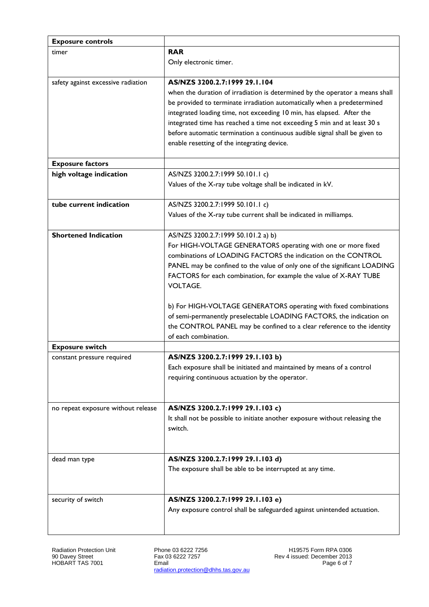| <b>Exposure controls</b>           |                                                                                                |
|------------------------------------|------------------------------------------------------------------------------------------------|
| timer                              | <b>RAR</b>                                                                                     |
|                                    | Only electronic timer.                                                                         |
|                                    |                                                                                                |
| safety against excessive radiation | AS/NZS 3200.2.7:1999 29.1.104                                                                  |
|                                    | when the duration of irradiation is determined by the operator a means shall                   |
|                                    | be provided to terminate irradiation automatically when a predetermined                        |
|                                    | integrated loading time, not exceeding 10 min, has elapsed. After the                          |
|                                    | integrated time has reached a time not exceeding 5 min and at least 30 s                       |
|                                    | before automatic termination a continuous audible signal shall be given to                     |
|                                    | enable resetting of the integrating device.                                                    |
|                                    |                                                                                                |
| <b>Exposure factors</b>            |                                                                                                |
| high voltage indication            | AS/NZS 3200.2.7:1999 50.101.1 c)                                                               |
|                                    | Values of the X-ray tube voltage shall be indicated in kV.                                     |
|                                    |                                                                                                |
| tube current indication            | AS/NZS 3200.2.7:1999 50.101.1 c)                                                               |
|                                    | Values of the X-ray tube current shall be indicated in milliamps.                              |
|                                    |                                                                                                |
| <b>Shortened Indication</b>        | AS/NZS 3200.2.7:1999 50.101.2 a) b)                                                            |
|                                    | For HIGH-VOLTAGE GENERATORS operating with one or more fixed                                   |
|                                    | combinations of LOADING FACTORS the indication on the CONTROL                                  |
|                                    | PANEL may be confined to the value of only one of the significant LOADING                      |
|                                    | FACTORS for each combination, for example the value of X-RAY TUBE                              |
|                                    | <b>VOLTAGE.</b>                                                                                |
|                                    |                                                                                                |
|                                    | b) For HIGH-VOLTAGE GENERATORS operating with fixed combinations                               |
|                                    | of semi-permanently preselectable LOADING FACTORS, the indication on                           |
|                                    |                                                                                                |
|                                    | the CONTROL PANEL may be confined to a clear reference to the identity<br>of each combination. |
| <b>Exposure switch</b>             |                                                                                                |
|                                    | AS/NZS 3200.2.7:1999 29.1.103 b)                                                               |
| constant pressure required         |                                                                                                |
|                                    | Each exposure shall be initiated and maintained by means of a control                          |
|                                    | requiring continuous actuation by the operator.                                                |
|                                    |                                                                                                |
| no repeat exposure without release | AS/NZS 3200.2.7:1999 29.1.103 c)                                                               |
|                                    | It shall not be possible to initiate another exposure without releasing the                    |
|                                    | switch.                                                                                        |
|                                    |                                                                                                |
|                                    |                                                                                                |
| dead man type                      | AS/NZS 3200.2.7:1999 29.1.103 d)                                                               |
|                                    | The exposure shall be able to be interrupted at any time.                                      |
|                                    |                                                                                                |
|                                    |                                                                                                |
| security of switch                 | AS/NZS 3200.2.7:1999 29.1.103 e)                                                               |
|                                    | Any exposure control shall be safeguarded against unintended actuation.                        |
|                                    |                                                                                                |
|                                    |                                                                                                |
|                                    |                                                                                                |

Radiation Protection Unit 90 Davey Street HOBART TAS 7001

Phone 03 6222 7256 Fax 03 6222 7257 Email radiation.protection@dhhs.tas.gov.au

H19575 Form RPA 0306 Rev 4 issued: December 2013 Page 6 of 7